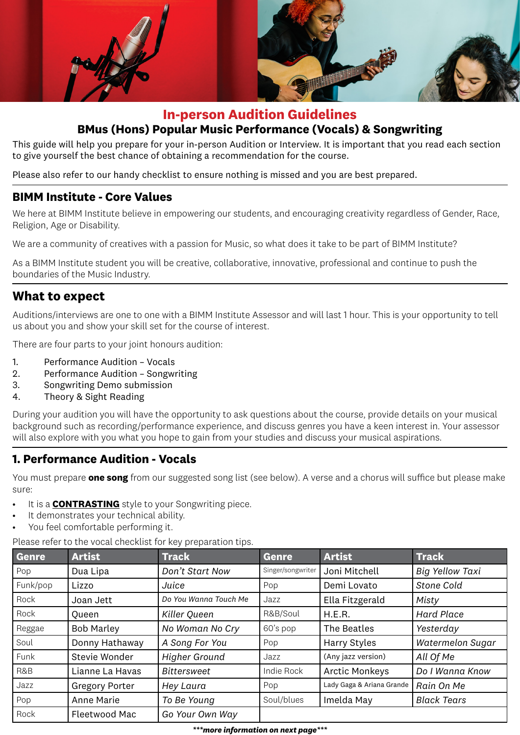

# **In-person Audition Guidelines BMus (Hons) Popular Music Performance (Vocals) & Songwriting**

This guide will help you prepare for your in-person Audition or Interview. It is important that you read each section to give yourself the best chance of obtaining a recommendation for the course.

Please also refer to our handy checklist to ensure nothing is missed and you are best prepared.

#### **BIMM Institute - Core Values**

We here at BIMM Institute believe in empowering our students, and encouraging creativity regardless of Gender, Race, Religion, Age or Disability.

We are a community of creatives with a passion for Music, so what does it take to be part of BIMM Institute?

As a BIMM Institute student you will be creative, collaborative, innovative, professional and continue to push the boundaries of the Music Industry.

## **What to expect**

Auditions/interviews are one to one with a BIMM Institute Assessor and will last 1 hour. This is your opportunity to tell us about you and show your skill set for the course of interest.

There are four parts to your joint honours audition:

- 1. Performance Audition Vocals
- 2. Performance Audition Songwriting
- 3. Songwriting Demo submission
- 4. Theory & Sight Reading

During your audition you will have the opportunity to ask questions about the course, provide details on your musical background such as recording/performance experience, and discuss genres you have a keen interest in. Your assessor will also explore with you what you hope to gain from your studies and discuss your musical aspirations.

#### **1. Performance Audition - Vocals**

You must prepare **one song** from our suggested song list (see below). A verse and a chorus will suffice but please make sure:

- It is a **CONTRASTING** style to your Songwriting piece.
- It demonstrates your technical ability.
- You feel comfortable performing it.

Please refer to the vocal checklist for key preparation tips.

| Genre    | <b>Artist</b>         | <b>Track</b>          | <b>Genre</b>      | <b>Artist</b>             | <b>Track</b>            |
|----------|-----------------------|-----------------------|-------------------|---------------------------|-------------------------|
| Pop      | Dua Lipa              | Don't Start Now       | Singer/songwriter | Joni Mitchell             | <b>Big Yellow Taxi</b>  |
| Funk/pop | Lizzo                 | Juice                 | Pop               | Demi Lovato               | Stone Cold              |
| Rock     | Joan Jett             | Do You Wanna Touch Me | Jazz              | Ella Fitzgerald           | Misty                   |
| Rock     | <b>Oueen</b>          | Killer Queen          | R&B/Soul          | H.E.R.                    | <b>Hard Place</b>       |
| Reggae   | <b>Bob Marley</b>     | No Woman No Cry       | 60's pop          | The Beatles               | Yesterday               |
| Soul     | Donny Hathaway        | A Song For You        | Pop               | Harry Styles              | <b>Watermelon Sugar</b> |
| Funk     | Stevie Wonder         | <b>Higher Ground</b>  | Jazz              | (Any jazz version)        | All Of Me               |
| R&B      | Lianne La Havas       | <b>Bittersweet</b>    | Indie Rock        | <b>Arctic Monkeys</b>     | Do I Wanna Know         |
| Jazz     | <b>Gregory Porter</b> | Hey Laura             | Pop               | Lady Gaga & Ariana Grande | Rain On Me              |
| Pop      | Anne Marie            | To Be Young           | Soul/blues        | Imelda May                | <b>Black Tears</b>      |
| Rock     | Fleetwood Mac         | Go Your Own Way       |                   |                           |                         |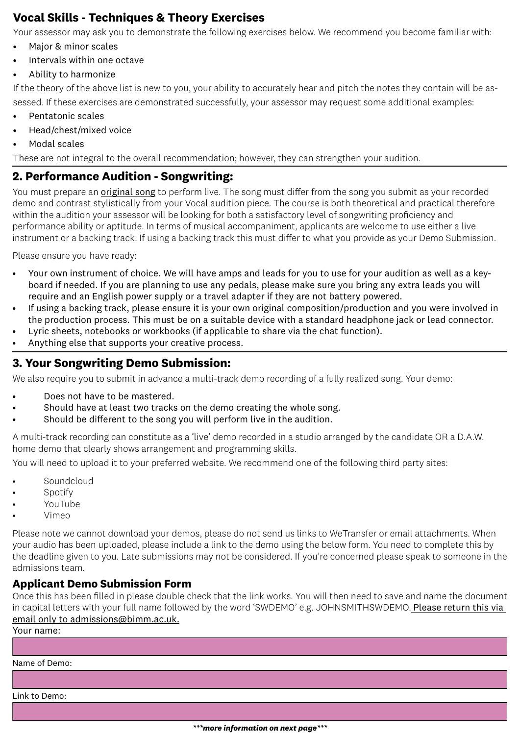## **Vocal Skills - Techniques & Theory Exercises**

Your assessor may ask you to demonstrate the following exercises below. We recommend you become familiar with:

- Major & minor scales
- Intervals within one octave
- Ability to harmonize

If the theory of the above list is new to you, your ability to accurately hear and pitch the notes they contain will be assessed. If these exercises are demonstrated successfully, your assessor may request some additional examples:

- Pentatonic scales
- Head/chest/mixed voice
- Modal scales

These are not integral to the overall recommendation; however, they can strengthen your audition.

## **2. Performance Audition - Songwriting:**

You must prepare an **original song** to perform live. The song must differ from the song you submit as your recorded demo and contrast stylistically from your Vocal audition piece. The course is both theoretical and practical therefore within the audition your assessor will be looking for both a satisfactory level of songwriting proficiency and performance ability or aptitude. In terms of musical accompaniment, applicants are welcome to use either a live instrument or a backing track. If using a backing track this must differ to what you provide as your Demo Submission.

Please ensure you have ready:

- Your own instrument of choice. We will have amps and leads for you to use for your audition as well as a keyboard if needed. If you are planning to use any pedals, please make sure you bring any extra leads you will require and an English power supply or a travel adapter if they are not battery powered.
- If using a backing track, please ensure it is your own original composition/production and you were involved in the production process. This must be on a suitable device with a standard headphone jack or lead connector.
- Lyric sheets, notebooks or workbooks (if applicable to share via the chat function).
- Anything else that supports your creative process.

### **3. Your Songwriting Demo Submission:**

We also require you to submit in advance a multi-track demo recording of a fully realized song. Your demo:

- Does not have to be mastered.
- Should have at least two tracks on the demo creating the whole song.
- Should be different to the song you will perform live in the audition.

A multi-track recording can constitute as a 'live' demo recorded in a studio arranged by the candidate OR a D.A.W. home demo that clearly shows arrangement and programming skills.

You will need to upload it to your preferred website. We recommend one of the following third party sites:

- **Soundcloud**
- **Spotify**
- YouTube
- Vimeo

Please note we cannot download your demos, please do not send us links to WeTransfer or email attachments. When your audio has been uploaded, please include a link to the demo using the below form. You need to complete this by the deadline given to you. Late submissions may not be considered. If you're concerned please speak to someone in the admissions team.

#### **Applicant Demo Submission Form**

Once this has been filled in please double check that the link works. You will then need to save and name the document in capital letters with your full name followed by the word 'SWDEMO' e.g. JOHNSMITHSWDEMO. Please return this via email only to admissions@bimm.ac.uk.

Your name:

Name of Demo:

Link to Demo: